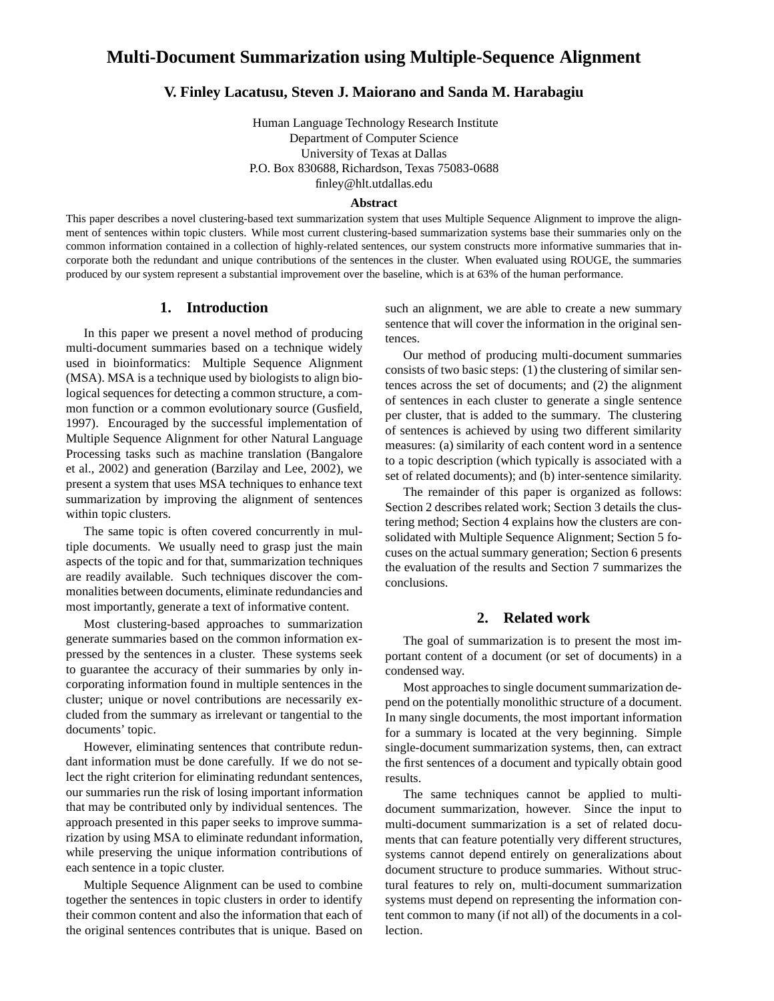# **Multi-Document Summarization using Multiple-Sequence Alignment**

### **V. Finley Lacatusu, Steven J. Maiorano and Sanda M. Harabagiu**

Human Language Technology Research Institute Department of Computer Science University of Texas at Dallas P.O. Box 830688, Richardson, Texas 75083-0688 finley@hlt.utdallas.edu

#### **Abstract**

This paper describes a novel clustering-based text summarization system that uses Multiple Sequence Alignment to improve the alignment of sentences within topic clusters. While most current clustering-based summarization systems base their summaries only on the common information contained in a collection of highly-related sentences, our system constructs more informative summaries that incorporate both the redundant and unique contributions of the sentences in the cluster. When evaluated using ROUGE, the summaries produced by our system represent a substantial improvement over the baseline, which is at 63% of the human performance.

### **1. Introduction**

In this paper we present a novel method of producing multi-document summaries based on a technique widely used in bioinformatics: Multiple Sequence Alignment (MSA). MSA is a technique used by biologists to align biological sequences for detecting a common structure, a common function or a common evolutionary source (Gusfield, 1997). Encouraged by the successful implementation of Multiple Sequence Alignment for other Natural Language Processing tasks such as machine translation (Bangalore et al., 2002) and generation (Barzilay and Lee, 2002), we present a system that uses MSA techniques to enhance text summarization by improving the alignment of sentences within topic clusters.

The same topic is often covered concurrently in multiple documents. We usually need to grasp just the main aspects of the topic and for that, summarization techniques are readily available. Such techniques discover the commonalities between documents, eliminate redundancies and most importantly, generate a text of informative content.

Most clustering-based approaches to summarization generate summaries based on the common information expressed by the sentences in a cluster. These systems seek to guarantee the accuracy of their summaries by only incorporating information found in multiple sentences in the cluster; unique or novel contributions are necessarily excluded from the summary as irrelevant or tangential to the documents' topic.

However, eliminating sentences that contribute redundant information must be done carefully. If we do not select the right criterion for eliminating redundant sentences, our summaries run the risk of losing important information that may be contributed only by individual sentences. The approach presented in this paper seeks to improve summarization by using MSA to eliminate redundant information, while preserving the unique information contributions of each sentence in a topic cluster.

Multiple Sequence Alignment can be used to combine together the sentences in topic clusters in order to identify their common content and also the information that each of the original sentences contributes that is unique. Based on

such an alignment, we are able to create a new summary sentence that will cover the information in the original sentences.

Our method of producing multi-document summaries consists of two basic steps: (1) the clustering of similar sentences across the set of documents; and (2) the alignment of sentences in each cluster to generate a single sentence per cluster, that is added to the summary. The clustering of sentences is achieved by using two different similarity measures: (a) similarity of each content word in a sentence to a topic description (which typically is associated with a set of related documents); and (b) inter-sentence similarity.

The remainder of this paper is organized as follows: Section 2 describes related work; Section 3 details the clustering method; Section 4 explains how the clusters are consolidated with Multiple Sequence Alignment; Section 5 focuses on the actual summary generation; Section 6 presents the evaluation of the results and Section 7 summarizes the conclusions.

#### **2. Related work**

The goal of summarization is to present the most important content of a document (or set of documents) in a condensed way.

Most approaches to single document summarization depend on the potentially monolithic structure of a document. In many single documents, the most important information for a summary is located at the very beginning. Simple single-document summarization systems, then, can extract the first sentences of a document and typically obtain good results.

The same techniques cannot be applied to multidocument summarization, however. Since the input to multi-document summarization is a set of related documents that can feature potentially very different structures, systems cannot depend entirely on generalizations about document structure to produce summaries. Without structural features to rely on, multi-document summarization systems must depend on representing the information content common to many (if not all) of the documents in a collection.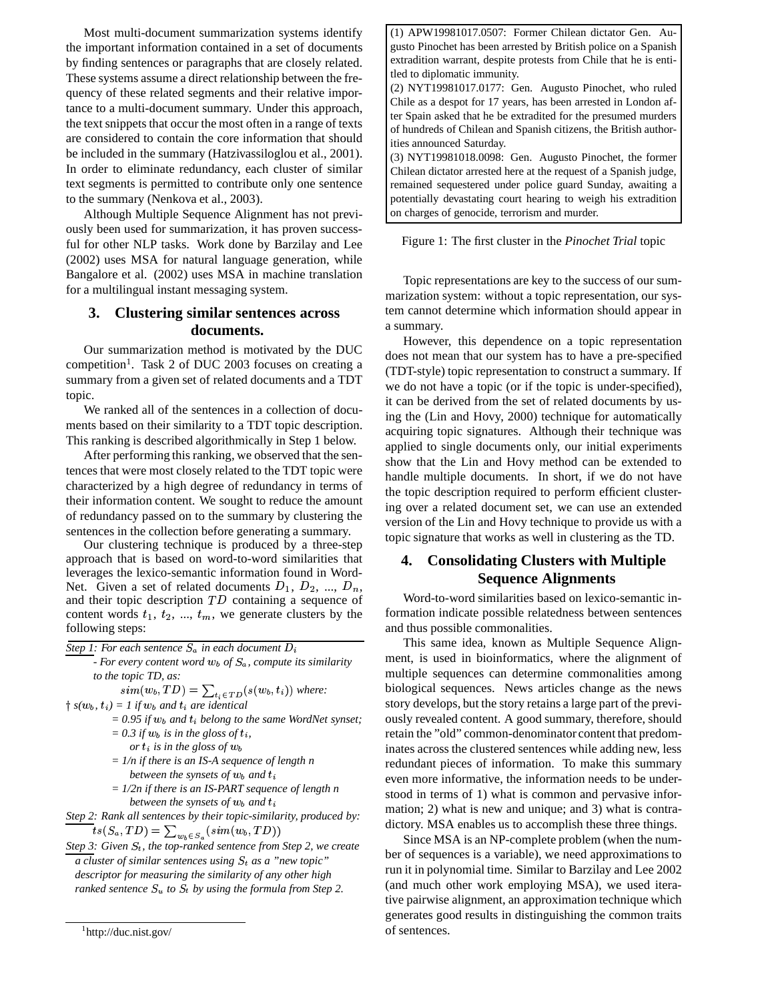Most multi-document summarization systems identify the important information contained in a set of documents by finding sentences or paragraphs that are closely related. These systems assume a direct relationship between the frequency of these related segments and their relative importance to a multi-document summary. Under this approach, the text snippets that occur the most often in a range of texts are considered to contain the core information that should be included in the summary (Hatzivassiloglou et al., 2001). In order to eliminate redundancy, each cluster of similar text segments is permitted to contribute only one sentence to the summary (Nenkova et al., 2003).

Although Multiple Sequence Alignment has not previously been used for summarization, it has proven successful for other NLP tasks. Work done by Barzilay and Lee (2002) uses MSA for natural language generation, while Bangalore et al. (2002) uses MSA in machine translation for a multilingual instant messaging system.

### **3. Clustering similar sentences across documents.**

Our summarization method is motivated by the DUC competition<sup>1</sup>. Task 2 of DUC 2003 focuses on creating a summary from a given set of related documents and a TDT topic.

We ranked all of the sentences in a collection of documents based on their similarity to a TDT topic description. This ranking is described algorithmically in Step 1 below.

After performing this ranking, we observed that the sentences that were most closely related to the TDT topic were characterized by a high degree of redundancy in terms of their information content. We sought to reduce the amount of redundancy passed on to the summary by clustering the sentences in the collection before generating a summary.

Our clustering technique is produced by a three-step approach that is based on word-to-word similarities that leverages the lexico-semantic information found in Word-Net. Given a set of related documents  $D_1, D_2, ..., D_n$ , and their topic description  $TD$  containing a sequence of content words  $t_1$ ,  $t_2$ , ...,  $t_m$ , we generate clusters by the following steps:

*Step 1: For each sentence in each document*

*- For every content word of , compute its similarity to the topic TD, as:*

 $\quad \, sim(w_b, TD) = \sum_{t_i \in TD} (s(w_b, t_i))$  where:  $\dagger$  *s*( $w_b$ ,  $t_i$ ) = 1 if  $w_b$  and  $t_i$  are identical

> $= 0.95$  *if*  $w_b$  *and*  $t_i$  *belong to the same WordNet synset;*  $= 0.3$  *if*  $w_b$  *is in the gloss of t<sub>i</sub>*,

*or*  $t_i$  *is in the gloss of*  $w_b$ 

- *= 1/n if there is an IS-A sequence of length n between* the *synsets* of  $w_b$  and  $t_i$
- *= 1/2n if there is an IS-PART sequence of length n between the synsets of*  $w_b$  *and*  $t_i$

*Step 2: Rank all sentences by their topic-similarity, produced by:*  $ts(S_c, 1|D) = \sum_{s} (sim(w_b, 1|D))$ 

*Step 3: Given* % *, the top-ranked sentence from Step 2, we create a cluster of similar sentences using*  $S_t$  *as a "new topic" descriptor for measuring the similarity of any other high ranked sentence*  $S_u$  to  $S_t$  by using the formula from Step 2.

(1) APW19981017.0507: Former Chilean dictator Gen. Augusto Pinochet has been arrested by British police on a Spanish extradition warrant, despite protests from Chile that he is entitled to diplomatic immunity.

(2) NYT19981017.0177: Gen. Augusto Pinochet, who ruled Chile as a despot for 17 years, has been arrested in London after Spain asked that he be extradited for the presumed murders of hundreds of Chilean and Spanish citizens, the British authorities announced Saturday.

(3) NYT19981018.0098: Gen. Augusto Pinochet, the former Chilean dictator arrested here at the request of a Spanish judge, remained sequestered under police guard Sunday, awaiting a potentially devastating court hearing to weigh his extradition on charges of genocide, terrorism and murder.

#### Figure 1: The first cluster in the *Pinochet Trial* topic

Topic representations are key to the success of our summarization system: without a topic representation, our system cannot determine which information should appear in a summary.

However, this dependence on a topic representation does not mean that our system has to have a pre-specified (TDT-style) topic representation to construct a summary. If we do not have a topic (or if the topic is under-specified), it can be derived from the set of related documents by using the (Lin and Hovy, 2000) technique for automatically acquiring topic signatures. Although their technique was applied to single documents only, our initial experiments show that the Lin and Hovy method can be extended to handle multiple documents. In short, if we do not have the topic description required to perform efficient clustering over a related document set, we can use an extended version of the Lin and Hovy technique to provide us with a topic signature that works as well in clustering as the TD.

## **4. Consolidating Clusters with Multiple Sequence Alignments**

Word-to-word similarities based on lexico-semantic information indicate possible relatedness between sentences and thus possible commonalities.

This same idea, known as Multiple Sequence Alignment, is used in bioinformatics, where the alignment of multiple sequences can determine commonalities among biological sequences. News articles change as the news story develops, but the story retains a large part of the previously revealed content. A good summary, therefore, should retain the "old" common-denominator content that predominates across the clustered sentences while adding new, less redundant pieces of information. To make this summary even more informative, the information needs to be understood in terms of 1) what is common and pervasive information; 2) what is new and unique; and 3) what is contradictory. MSA enables us to accomplish these three things.

Since MSA is an NP-complete problem (when the number of sequences is a variable), we need approximations to run it in polynomial time. Similar to Barzilay and Lee 2002 (and much other work employing MSA), we used iterative pairwise alignment, an approximation technique which generates good results in distinguishing the common traits of sentences.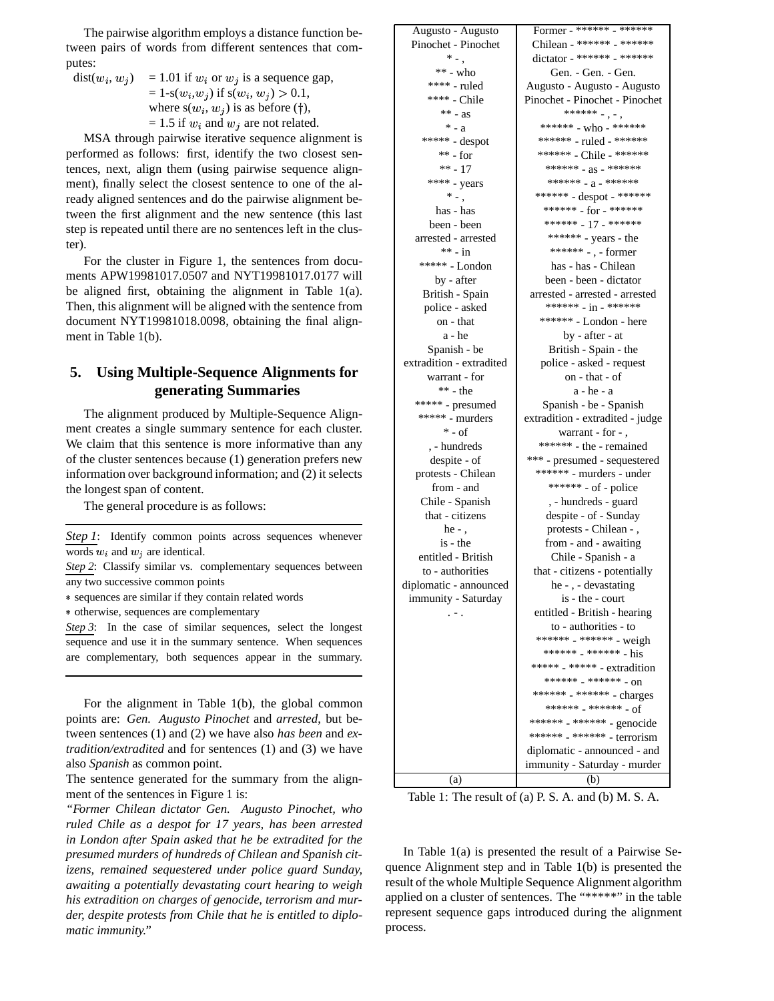The pairwise algorithm employs a distance function between pairs of words from different sentences that computes:

 $dist(w_i, w_j)$  $(i, w_i)$  = 1.01 if  $w_i$  or  $w_j$  is a sequence gap,  $= 1$ -s( $w_i, w_j$ ) if s( $w_i, w_j$ ) > 0.1, where  $s(w_i, w_j)$  is as before (†),  $= 1.5$  if  $w_i$  and  $w_j$  are not related.

MSA through pairwise iterative sequence alignment is performed as follows: first, identify the two closest sentences, next, align them (using pairwise sequence alignment), finally select the closest sentence to one of the already aligned sentences and do the pairwise alignment between the first alignment and the new sentence (this last step is repeated until there are no sentences left in the cluster).

For the cluster in Figure 1, the sentences from documents APW19981017.0507 and NYT19981017.0177 will be aligned first, obtaining the alignment in Table 1(a). Then, this alignment will be aligned with the sentence from document NYT19981018.0098, obtaining the final alignment in Table 1(b).

## **5. Using Multiple-Sequence Alignments for generating Summaries**

The alignment produced by Multiple-Sequence Alignment creates a single summary sentence for each cluster. We claim that this sentence is more informative than any of the cluster sentences because (1) generation prefers new information over background information; and (2) it selects the longest span of content.

The general procedure is as follows:

*Step* 1: Identify common points across sequences whenever words  $w_i$  and  $w_j$  are identical.

 otherwise, sequences are complementary

*Step 3*: In the case of similar sequences, select the longest sequence and use it in the summary sentence. When sequences are complementary, both sequences appear in the summary.

For the alignment in Table 1(b), the global common points are: *Gen. Augusto Pinochet* and *arrested*, but between sentences (1) and (2) we have also *has been* and *extradition/extradited* and for sentences (1) and (3) we have also *Spanish* as common point.

The sentence generated for the summary from the alignment of the sentences in Figure 1 is:

*"Former Chilean dictator Gen. Augusto Pinochet, who ruled Chile as a despot for 17 years, has been arrested in London after Spain asked that he be extradited for the presumed murders of hundreds of Chilean and Spanish citizens, remained sequestered under police guard Sunday, awaiting a potentially devastating court hearing to weigh his extradition on charges of genocide, terrorism and murder, despite protests from Chile that he is entitled to diplomatic immunity."*

| Augusto - Augusto                                       | Former - ****** - ******                                   |  |
|---------------------------------------------------------|------------------------------------------------------------|--|
| Pinochet - Pinochet                                     | Chilean - ****** - ******                                  |  |
| *                                                       | dictator - ****** - ******                                 |  |
| $** - who$                                              | Gen. - Gen. - Gen.                                         |  |
| **** - ruled                                            | Augusto - Augusto - Augusto                                |  |
| **** - Chile                                            | Pinochet - Pinochet - Pinochet                             |  |
| $***$ - as                                              | ****** -, -,                                               |  |
| $* - a$                                                 | ******* - who - ******                                     |  |
| ***** - despot                                          | ****** - ruled - ******                                    |  |
| $**$ - for                                              | ****** - Chile - ******                                    |  |
| $*** - 17$                                              | ****** - $as -$ ******                                     |  |
| **** - years                                            | ****** $-a$ - ******                                       |  |
| $*$ $\overline{\phantom{a}}$ .                          | ****** - despot - ******                                   |  |
| has - has                                               | ******* - for - *******                                    |  |
| been - been                                             | ****** - 17 - ******                                       |  |
| arrested - arrested                                     | ****** - years - the                                       |  |
| $** - in$                                               | ****** -, - former                                         |  |
| ***** - London                                          | has - has - Chilean                                        |  |
| by - after                                              | been - been - dictator                                     |  |
| British - Spain                                         | arrested - arrested - arrested                             |  |
| police - asked                                          | ****** $-$ in - ******                                     |  |
| on - that                                               | ****** - London - here                                     |  |
| a - he                                                  | by - after - at                                            |  |
| Spanish - be                                            | British - Spain - the                                      |  |
| extradition - extradited                                | police - asked - request                                   |  |
| warrant - for                                           | on - that - of                                             |  |
| $** - the$                                              | a - he - a                                                 |  |
| $\ast\ast\ast\ast\ast$ - presumed                       |                                                            |  |
| $*****$ - murders                                       | Spanish - be - Spanish<br>extradition - extradited - judge |  |
| $*$ - of                                                | warrant - for -.                                           |  |
| , - hundreds                                            | ****** - the - remained                                    |  |
| despite - of                                            |                                                            |  |
| protests - Chilean                                      | *** - presumed - sequestered                               |  |
| from - and                                              | ****** - murders - under<br>****** - of - police           |  |
|                                                         |                                                            |  |
| Chile - Spanish<br>that - citizens                      | , - hundreds - guard                                       |  |
| he $-$ ,                                                | despite - of - Sunday                                      |  |
|                                                         | protests - Chilean - ,                                     |  |
| is - the<br>from - and - awaiting<br>entitled - British |                                                            |  |
| to - authorities                                        | Chile - Spanish - a                                        |  |
|                                                         | that - citizens - potentially                              |  |
| diplomatic - announced                                  | he -, - devastating<br>is - the - court                    |  |
| immunity - Saturday                                     |                                                            |  |
|                                                         | entitled - British - hearing                               |  |
|                                                         | to - authorities - to                                      |  |
|                                                         | ****** - ****** - weigh                                    |  |
|                                                         | ****** _ ****** _ his                                      |  |
|                                                         | ***** - ***** - extradition                                |  |
|                                                         | ****** _ ****** _ 00                                       |  |
|                                                         | ****** - ****** - charges                                  |  |
|                                                         | ****** _ ****** _ of                                       |  |
|                                                         | ****** - ****** - genocide                                 |  |
|                                                         | ****** <sub>-</sub> ****** - terrorism                     |  |
|                                                         | diplomatic - announced - and                               |  |
|                                                         | immunity - Saturday - murder                               |  |
| (a)                                                     | (b)                                                        |  |

Table 1: The result of (a) P. S. A. and (b) M. S. A.

In Table  $1(a)$  is presented the result of a Pairwise Sequence Alignment step and in Table 1(b) is presented the result of the whole Multiple Sequence Alignment algorithm applied on a cluster of sentences. The "\*\*\*\*\*" in the table represent sequence gaps introduced during the alignment process.

*Step 2*: Classify similar vs. complementary sequences between any two successive common points

 sequences are similar if they contain related words